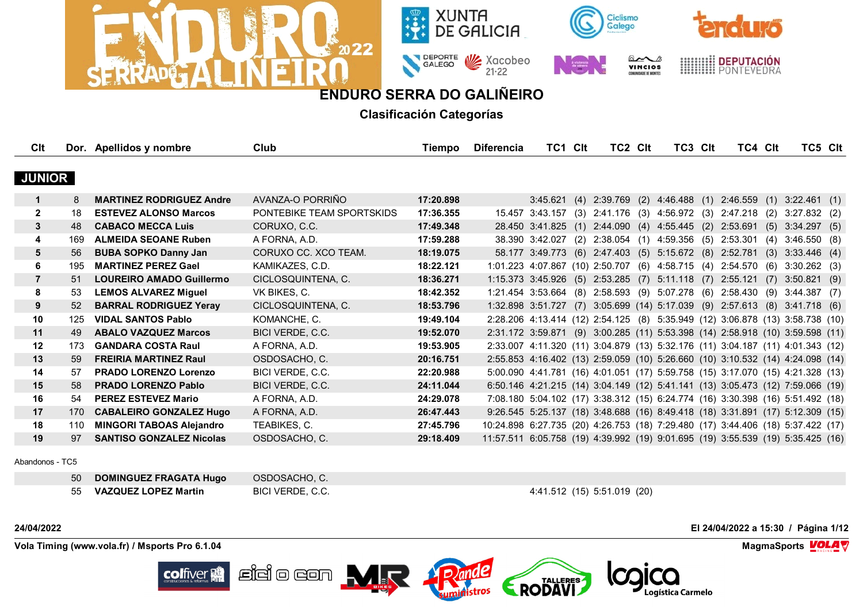







**Clasificación Categorías**

| Clt            |     | Dor. Apellidos y nombre         | Club                      | Tiempo    | <b>Diferencia</b>                                                               | TC1 CIt         | TC2 CIt | TC3 CIt                                                | TC4 CIt                                                                        |     | TC5 CIt        |  |
|----------------|-----|---------------------------------|---------------------------|-----------|---------------------------------------------------------------------------------|-----------------|---------|--------------------------------------------------------|--------------------------------------------------------------------------------|-----|----------------|--|
|                |     |                                 |                           |           |                                                                                 |                 |         |                                                        |                                                                                |     |                |  |
| <b>JUNIOR</b>  |     |                                 |                           |           |                                                                                 |                 |         |                                                        |                                                                                |     |                |  |
| 1              | 8   | <b>MARTINEZ RODRIGUEZ Andre</b> | AVANZA-O PORRIÑO          | 17:20.898 |                                                                                 | 3:45.621        |         |                                                        | $(4)$ 2:39.769 $(2)$ 4:46.488 $(1)$ 2:46.559 $(1)$ 3:22.461 $(1)$              |     |                |  |
| $\mathbf{2}$   | 18  | <b>ESTEVEZ ALONSO Marcos</b>    | PONTEBIKE TEAM SPORTSKIDS | 17:36.355 |                                                                                 | 15.457 3:43.157 |         |                                                        | $(3)$ 2:41.176 $(3)$ 4:56.972 $(3)$ 2:47.218 $(2)$                             |     | $3:27.832$ (2) |  |
| 3              | 48  | <b>CABACO MECCA Luis</b>        | CORUXO, C.C.              | 17:49.348 |                                                                                 |                 |         | 28.450 3:41.825 (1) 2:44.090 (4) 4:55.445 (2)          | 2:53.691                                                                       | (5) | 3:34.297(5)    |  |
| 4              | 169 | <b>ALMEIDA SEOANE Ruben</b>     | A FORNA, A.D.             | 17:59.288 |                                                                                 |                 |         | 38.390 3:42.027 (2) 2:38.054 (1) 4:59.356 (5) 2:53.301 |                                                                                | (4) | 3:46.550(8)    |  |
| 5              | 56  | <b>BUBA SOPKO Danny Jan</b>     | CORUXO CC. XCO TEAM.      | 18:19.075 |                                                                                 |                 |         | 58.177 3:49.773 (6) 2:47.403 (5) 5:15.672 (8) 2:52.781 |                                                                                | (3) | 3:33.446(4)    |  |
| 6              | 195 | <b>MARTINEZ PEREZ Gael</b>      | KAMIKAZES, C.D.           | 18:22.121 |                                                                                 |                 |         |                                                        | 1:01.223 4:07.867 (10) 2:50.707 (6) 4:58.715 (4) 2:54.570 (6)                  |     | $3:30.262$ (3) |  |
| $\overline{7}$ | 51  | <b>LOUREIRO AMADO Guillermo</b> | CICLOSQUINTENA, C.        | 18:36.271 |                                                                                 |                 |         |                                                        | 1:15.373 3:45.926 (5) 2:53.285 (7) 5:11.118 (7) 2:55.121 (7)                   |     | $3:50.821$ (9) |  |
| 8              | 53  | <b>LEMOS ALVAREZ Miguel</b>     | VK BIKES, C.              | 18:42.352 |                                                                                 |                 |         |                                                        | 1:21.454 3:53.664 (8) 2:58.593 (9) 5:07.278 (6) 2:58.430 (9) 3:44.387 (7)      |     |                |  |
| 9              | 52  | <b>BARRAL RODRIGUEZ Yeray</b>   | CICLOSQUINTENA, C.        | 18:53.796 |                                                                                 |                 |         |                                                        | 1:32.898 3:51.727 (7) 3:05.699 (14) 5:17.039 (9) 2:57.613 (8) 3:41.718 (6)     |     |                |  |
| 10             | 125 | <b>VIDAL SANTOS Pablo</b>       | KOMANCHE, C.              | 19:49.104 |                                                                                 |                 |         |                                                        | 2:28.206 4:13.414 (12) 2:54.125 (8) 5:35.949 (12) 3:06.878 (13) 3:58.738 (10)  |     |                |  |
| 11             | 49  | <b>ABALO VAZQUEZ Marcos</b>     | BICI VERDE, C.C.          | 19:52.070 |                                                                                 |                 |         |                                                        | 2:31.172 3:59.871 (9) 3:00.285 (11) 5:53.398 (14) 2:58.918 (10) 3:59.598 (11)  |     |                |  |
| 12             | 173 | <b>GANDARA COSTA Raul</b>       | A FORNA, A.D.             | 19:53.905 |                                                                                 |                 |         |                                                        | 2:33.007 4:11.320 (11) 3:04.879 (13) 5:32.176 (11) 3:04.187 (11) 4:01.343 (12) |     |                |  |
| 13             | 59  | <b>FREIRIA MARTINEZ Raul</b>    | OSDOSACHO, C.             | 20:16.751 |                                                                                 |                 |         |                                                        | 2:55.853 4:16.402 (13) 2:59.059 (10) 5:26.660 (10) 3:10.532 (14) 4:24.098 (14) |     |                |  |
| 14             | 57  | <b>PRADO LORENZO Lorenzo</b>    | BICI VERDE, C.C.          | 22:20.988 |                                                                                 |                 |         |                                                        | 5:00.090 4:41.781 (16) 4:01.051 (17) 5:59.758 (15) 3:17.070 (15) 4:21.328 (13) |     |                |  |
| 15             | 58  | <b>PRADO LORENZO Pablo</b>      | BICI VERDE, C.C.          | 24:11.044 |                                                                                 |                 |         |                                                        | 6:50.146 4:21.215 (14) 3:04.149 (12) 5:41.141 (13) 3:05.473 (12) 7:59.066 (19) |     |                |  |
| 16             | 54  | <b>PEREZ ESTEVEZ Mario</b>      | A FORNA, A.D.             | 24:29.078 |                                                                                 |                 |         |                                                        | 7:08.180 5:04.102 (17) 3:38.312 (15) 6:24.774 (16) 3:30.398 (16) 5:51.492 (18) |     |                |  |
| 17             | 170 | <b>CABALEIRO GONZALEZ Hugo</b>  | A FORNA, A.D.             | 26:47.443 |                                                                                 |                 |         |                                                        | 9:26.545 5:25.137 (18) 3:48.688 (16) 8:49.418 (18) 3:31.891 (17) 5:12.309 (15) |     |                |  |
| 18             | 110 | <b>MINGORI TABOAS Alejandro</b> | TEABIKES, C.              | 27:45.796 | 10:24.898 6:27.735 (20) 4:26.753 (18) 7:29.480 (17) 3:44.406 (18) 5:37.422 (17) |                 |         |                                                        |                                                                                |     |                |  |
| 19             | 97  | <b>SANTISO GONZALEZ Nicolas</b> | OSDOSACHO, C.             | 29:18.409 | 11:57.511 6:05.758 (19) 4:39.992 (19) 9:01.695 (19) 3:55.539 (19) 5:35.425 (16) |                 |         |                                                        |                                                                                |     |                |  |
|                |     |                                 |                           |           |                                                                                 |                 |         |                                                        |                                                                                |     |                |  |

Abandonos - TC5

| 50 DOMINGUEZ FRAGATA Hugo | OSDOSACHO, C.    |                             |
|---------------------------|------------------|-----------------------------|
| 55 VAZQUEZ LOPEZ Martin   | BICI VERDE, C.C. | 4:41.512 (15) 5:51.019 (20) |

**24/04/2022 El 24/04/2022 a 15:30 / Página 1/12**

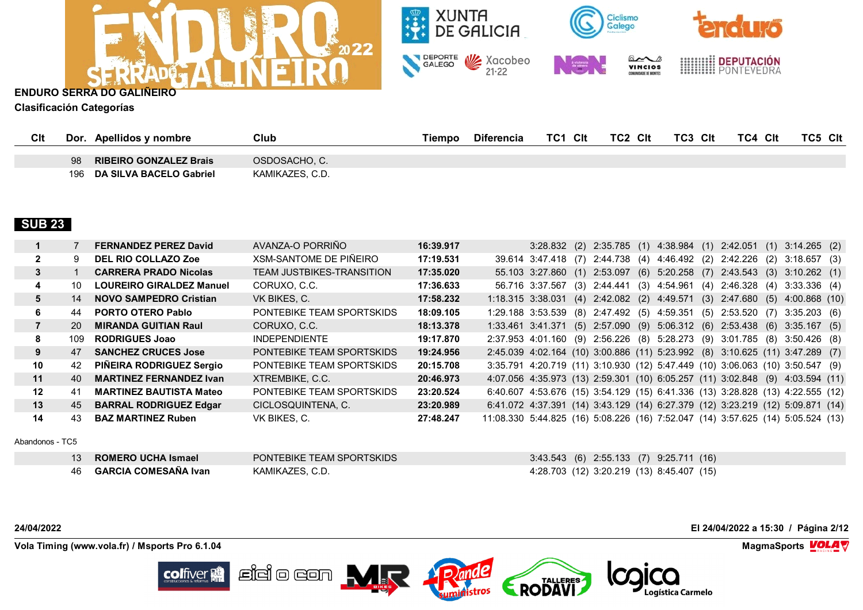



**Clasificación Categorías**

| Clt | Dor       | Apellidos y nombre                                       | Club                             | Tiempo | <b>Diferencia</b> | Clt<br>TC1 | TC2<br>Clt | TC3 CIt | TC4 Clt | TC5<br>Clt |
|-----|-----------|----------------------------------------------------------|----------------------------------|--------|-------------------|------------|------------|---------|---------|------------|
|     | 98<br>196 | <b>RIBEIRO GONZALEZ Brais</b><br>DA SILVA BACELO Gabriel | OSDOSACHO, C.<br>KAMIKAZES, C.D. |        |                   |            |            |         |         |            |

# **SUB 23**

|         |     | <b>FERNANDEZ PEREZ David</b>    | AVANZA-O PORRIÑO                 | 16:39.917 |                                                                                 | 3:28.832 (2) 2:35.785 (1) 4:38.984 (1) 2:42.051 (1) 3:14.265 (2) |  |  |  |  |
|---------|-----|---------------------------------|----------------------------------|-----------|---------------------------------------------------------------------------------|------------------------------------------------------------------|--|--|--|--|
|         | 9.  | <b>DEL RIO COLLAZO Zoe</b>      | XSM-SANTOME DE PIÑEIRO           | 17:19.531 | 39.614 3:47.418 (7) 2:44.738 (4) 4:46.492 (2) 2:42.226 (2) 3:18.657 (3)         |                                                                  |  |  |  |  |
| 3       |     | <b>CARRERA PRADO Nicolas</b>    | <b>TEAM JUSTBIKES-TRANSITION</b> | 17:35.020 | 55.103 3:27.860 (1) 2:53.097 (6) 5:20.258 (7) 2:43.543 (3) 3:10.262 (1)         |                                                                  |  |  |  |  |
| 4       | 10  | <b>LOUREIRO GIRALDEZ Manuel</b> | CORUXO, C.C.                     | 17:36.633 | 56.716 3:37.567 (3) 2:44.441 (3) 4:54.961 (4) 2:46.328 (4) 3:33.336 (4)         |                                                                  |  |  |  |  |
| 5       | 14  | <b>NOVO SAMPEDRO Cristian</b>   | VK BIKES, C.                     | 17:58.232 | 1:18.315 3:38.031 (4) 2:42.082 (2) 4:49.571 (3) 2:47.680 (5) 4:00.868 (10)      |                                                                  |  |  |  |  |
| 6       | 44  | <b>PORTO OTERO Pablo</b>        | PONTEBIKE TEAM SPORTSKIDS        | 18:09.105 | 1:29.188 3:53.539 (8) 2:47.492 (5) 4:59.351 (5) 2:53.520 (7) 3:35.203 (6)       |                                                                  |  |  |  |  |
|         | 20  | <b>MIRANDA GUITIAN Raul</b>     | CORUXO, C.C.                     | 18:13.378 | 1:33.461 3:41.371 (5) 2:57.090 (9) 5:06.312 (6) 2:53.438 (6) 3:35.167 (5)       |                                                                  |  |  |  |  |
| 8       | 109 | <b>RODRIGUES Joao</b>           | <b>INDEPENDIENTE</b>             | 19:17.870 | 2:37.953 4:01.160 (9) 2:56.226 (8) 5:28.273 (9) 3:01.785 (8) 3:50.426 (8)       |                                                                  |  |  |  |  |
| 9       | 47  | <b>SANCHEZ CRUCES Jose</b>      | PONTEBIKE TEAM SPORTSKIDS        | 19:24.956 | 2:45.039 4:02.164 (10) 3:00.886 (11) 5:23.992 (8) 3:10.625 (11) 3:47.289 (7)    |                                                                  |  |  |  |  |
| 10      | 42  | PIÑEIRA RODRIGUEZ Sergio        | PONTEBIKE TEAM SPORTSKIDS        | 20:15.708 | 3:35.791 4:20.719 (11) 3:10.930 (12) 5:47.449 (10) 3:06.063 (10) 3:50.547 (9)   |                                                                  |  |  |  |  |
| 11      | 40. | <b>MARTINEZ FERNANDEZ Ivan</b>  | XTREMBIKE, C.C.                  | 20:46.973 | 4:07.056 4:35.973 (13) 2:59.301 (10) 6:05.257 (11) 3:02.848 (9) 4:03.594 (11)   |                                                                  |  |  |  |  |
| $12 \,$ | 41  | <b>MARTINEZ BAUTISTA Mateo</b>  | PONTEBIKE TEAM SPORTSKIDS        | 23:20.524 | 6:40.607 4:53.676 (15) 3:54.129 (15) 6:41.336 (13) 3:28.828 (13) 4:22.555 (12)  |                                                                  |  |  |  |  |
| 13      | 45  | <b>BARRAL RODRIGUEZ Edgar</b>   | CICLOSQUINTENA, C.               | 23:20.989 | 6:41.072 4:37.391 (14) 3:43.129 (14) 6:27.379 (12) 3:23.219 (12) 5:09.871 (14)  |                                                                  |  |  |  |  |
| 14      | 43  | <b>BAZ MARTINEZ Ruben</b>       | VK BIKES, C.                     | 27:48.247 | 11:08.330 5:44.825 (16) 5:08.226 (16) 7:52.047 (14) 3:57.625 (14) 5:05.524 (13) |                                                                  |  |  |  |  |

Abandonos - TC5

| 13 ROMERO UCHA Ismael    | PONTEBIKE TEAM SPORTSKIDS | 3:43.543 (6) 2:55.133 (7) 9:25.711 (16)   |
|--------------------------|---------------------------|-------------------------------------------|
| 46  GARCIA COMESAÑA Ivan | KAMIKAZES, C.D.           | 4:28.703 (12) 3:20.219 (13) 8:45.407 (15) |

**colfiver** 

**24/04/2022 El 24/04/2022 a 15:30 / Página 2/12**

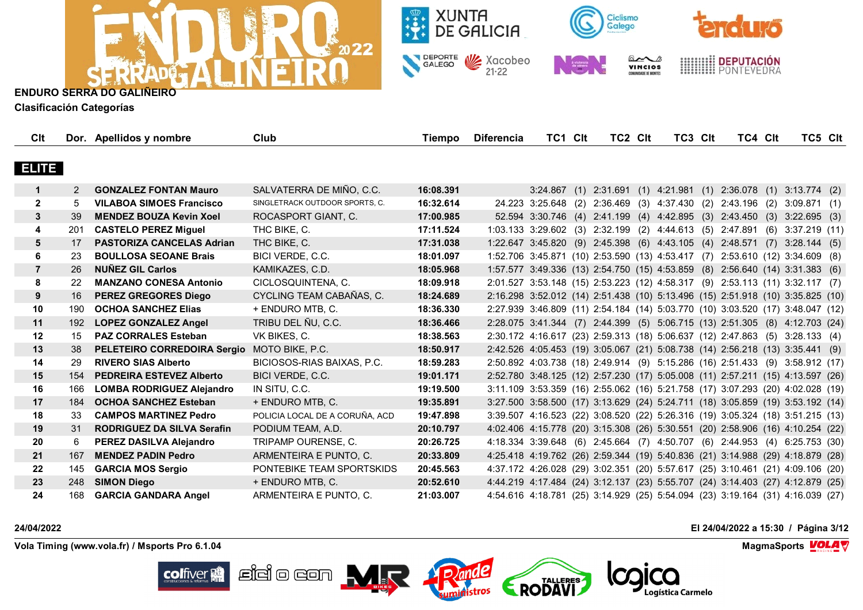



**Clasificación Categorías**

| Clt            |               | Dor. Apellidos y nombre                     | Club                           | Tiempo    | <b>Diferencia</b> | TC1 Clt | TC2 CIt | TC3 CIt | TC4 Clt | TC5 Clt                                                                        |  |
|----------------|---------------|---------------------------------------------|--------------------------------|-----------|-------------------|---------|---------|---------|---------|--------------------------------------------------------------------------------|--|
|                |               |                                             |                                |           |                   |         |         |         |         |                                                                                |  |
| ELITE          |               |                                             |                                |           |                   |         |         |         |         |                                                                                |  |
|                | $\mathcal{P}$ | <b>GONZALEZ FONTAN Mauro</b>                | SALVATERRA DE MIÑO, C.C.       | 16:08.391 |                   |         |         |         |         | 3:24.867 (1) 2:31.691 (1) 4:21.981 (1) 2:36.078 (1) 3:13.774 (2)               |  |
| $\overline{2}$ | 5             | <b>VILABOA SIMOES Francisco</b>             | SINGLETRACK OUTDOOR SPORTS, C. | 16:32.614 |                   |         |         |         |         | 24.223 3:25.648 (2) 2:36.469 (3) 4:37.430 (2) 2:43.196 (2) 3:09.871 (1)        |  |
| 3              | 39            | <b>MENDEZ BOUZA Kevin Xoel</b>              | ROCASPORT GIANT, C.            | 17:00.985 |                   |         |         |         |         | 52.594 3:30.746 (4) 2:41.199 (4) 4:42.895 (3) 2:43.450 (3) 3:22.695 (3)        |  |
| 4              | 201           | <b>CASTELO PEREZ Miguel</b>                 | THC BIKE, C.                   | 17:11.524 |                   |         |         |         |         | 1:03.133 3:29.602 (3) 2:32.199 (2) 4:44.613 (5) 2:47.891 (6) 3:37.219 (11)     |  |
| 5              | 17            | <b>PASTORIZA CANCELAS Adrian</b>            | THC BIKE, C.                   | 17:31.038 |                   |         |         |         |         | 1:22.647 3:45.820 (9) 2:45.398 (6) 4:43.105 (4) 2:48.571 (7) 3:28.144 (5)      |  |
| 6              | 23            | <b>BOULLOSA SEOANE Brais</b>                | BICI VERDE, C.C.               | 18:01.097 |                   |         |         |         |         | 1:52.706 3:45.871 (10) 2:53.590 (13) 4:53.417 (7) 2:53.610 (12) 3:34.609 (8)   |  |
| $\overline{7}$ | 26            | <b>NUÑEZ GIL Carlos</b>                     | KAMIKAZES, C.D.                | 18:05.968 |                   |         |         |         |         | 1:57.577 3:49.336 (13) 2:54.750 (15) 4:53.859 (8) 2:56.640 (14) 3:31.383 (6)   |  |
| 8              | 22            | <b>MANZANO CONESA Antonio</b>               | CICLOSQUINTENA, C.             | 18:09.918 |                   |         |         |         |         | 2:01.527 3:53.148 (15) 2:53.223 (12) 4:58.317 (9) 2:53.113 (11) 3:32.117 (7)   |  |
| 9              | 16            | <b>PEREZ GREGORES Diego</b>                 | CYCLING TEAM CABAÑAS, C.       | 18:24.689 |                   |         |         |         |         | 2:16.298 3:52.012 (14) 2:51.438 (10) 5:13.496 (15) 2:51.918 (10) 3:35.825 (10) |  |
| 10             | 190           | <b>OCHOA SANCHEZ Elias</b>                  | + ENDURO MTB, C.               | 18:36.330 |                   |         |         |         |         | 2:27.939 3:46.809 (11) 2:54.184 (14) 5:03.770 (10) 3:03.520 (17) 3:48.047 (12) |  |
| 11             | 192           | <b>LOPEZ GONZALEZ Angel</b>                 | TRIBU DEL ÑU, C.C.             | 18:36.466 |                   |         |         |         |         | 2:28.075 3:41.344 (7) 2:44.399 (5) 5:06.715 (13) 2:51.305 (8) 4:12.703 (24)    |  |
| 12             | 15            | <b>PAZ CORRALES Esteban</b>                 | VK BIKES, C.                   | 18:38.563 |                   |         |         |         |         | 2:30.172 4:16.617 (23) 2:59.313 (18) 5:06.637 (12) 2:47.863 (5) 3:28.133 (4)   |  |
| 13             | 38            | PELETEIRO CORREDOIRA Sergio MOTO BIKE, P.C. |                                | 18:50.917 |                   |         |         |         |         | 2:42.526 4:05.453 (19) 3:05.067 (21) 5:08.738 (14) 2:56.218 (13) 3:35.441 (9)  |  |
| 14             | 29            | <b>RIVERO SIAS Alberto</b>                  | BICIOSOS-RIAS BAIXAS, P.C.     | 18:59.283 |                   |         |         |         |         | 2:50.892 4:03.738 (18) 2:49.914 (9) 5:15.286 (16) 2:51.433 (9) 3:58.912 (17)   |  |
| 15             | 154           | <b>PEDREIRA ESTEVEZ Alberto</b>             | BICI VERDE, C.C.               | 19:01.171 |                   |         |         |         |         | 2:52.780 3:48.125 (12) 2:57.230 (17) 5:05.008 (11) 2:57.211 (15) 4:13.597 (26) |  |
| 16             | 166           | <b>LOMBA RODRIGUEZ Alejandro</b>            | IN SITU, C.C.                  | 19:19.500 |                   |         |         |         |         | 3:11.109 3:53.359 (16) 2:55.062 (16) 5:21.758 (17) 3:07.293 (20) 4:02.028 (19) |  |
| 17             | 184           | <b>OCHOA SANCHEZ Esteban</b>                | + ENDURO MTB, C.               | 19:35.891 |                   |         |         |         |         | 3:27.500 3:58.500 (17) 3:13.629 (24) 5:24.711 (18) 3:05.859 (19) 3:53.192 (14) |  |
| 18             | 33            | <b>CAMPOS MARTINEZ Pedro</b>                | POLICIA LOCAL DE A CORUÑA, ACD | 19:47.898 |                   |         |         |         |         | 3:39.507 4:16.523 (22) 3:08.520 (22) 5:26.316 (19) 3:05.324 (18) 3:51.215 (13) |  |
| 19             | 31            | <b>RODRIGUEZ DA SILVA Serafin</b>           | PODIUM TEAM, A.D.              | 20:10.797 |                   |         |         |         |         | 4:02.406 4:15.778 (20) 3:15.308 (26) 5:30.551 (20) 2:58.906 (16) 4:10.254 (22) |  |
| 20             | 6             | PEREZ DASILVA Alejandro                     | TRIPAMP OURENSE, C.            | 20:26.725 |                   |         |         |         |         | 4:18.334 3:39.648 (6) 2:45.664 (7) 4:50.707 (6) 2:44.953 (4) 6:25.753 (30)     |  |
| 21             | 167           | <b>MENDEZ PADIN Pedro</b>                   | ARMENTEIRA E PUNTO, C.         | 20:33.809 |                   |         |         |         |         | 4:25.418 4:19.762 (26) 2:59.344 (19) 5:40.836 (21) 3:14.988 (29) 4:18.879 (28) |  |
| 22             | 145           | <b>GARCIA MOS Sergio</b>                    | PONTEBIKE TEAM SPORTSKIDS      | 20:45.563 |                   |         |         |         |         | 4:37.172 4:26.028 (29) 3:02.351 (20) 5:57.617 (25) 3:10.461 (21) 4:09.106 (20) |  |
| 23             | 248           | <b>SIMON Diego</b>                          | + ENDURO MTB, C.               | 20:52.610 |                   |         |         |         |         | 4:44.219 4:17.484 (24) 3:12.137 (23) 5:55.707 (24) 3:14.403 (27) 4:12.879 (25) |  |
| 24             | 168           | <b>GARCIA GANDARA Angel</b>                 | ARMENTEIRA E PUNTO, C.         | 21:03.007 |                   |         |         |         |         | 4:54.616 4:18.781 (25) 3:14.929 (25) 5:54.094 (23) 3:19.164 (31) 4:16.039 (27) |  |

pande

RODAVI

 $\mathbb{E}$ idio con  $\mathbf{M}_{\mathbb{R}}$ 

**Vola Timing (www.vola.fr) / Msports Pro 6.1.04 MagmaSports VOLA** 

**colfiver** 

**24/04/2022 El 24/04/2022 a 15:30 / Página 3/12**

Logística Carmelo

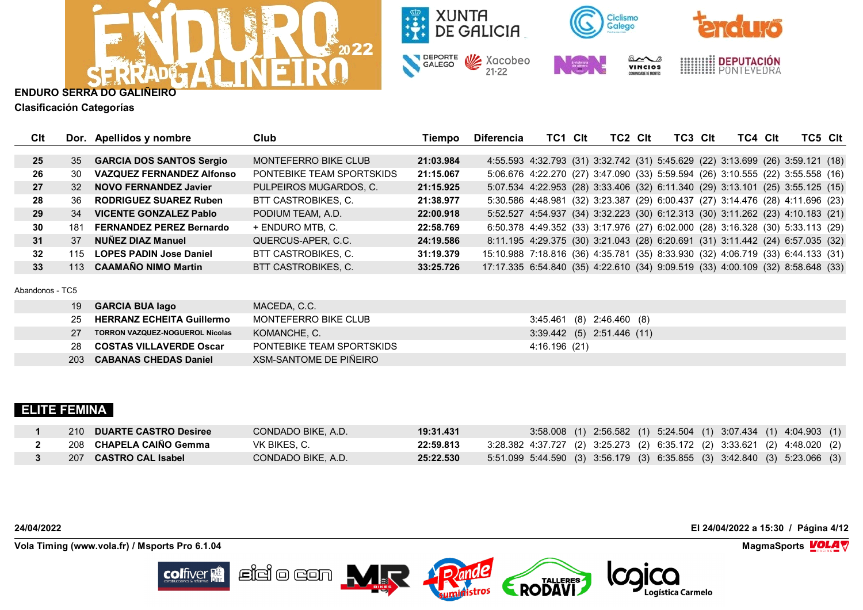



**Clasificación Categorías**

| Clt             |        | Dor. Apellidos y nombre          | Club                        | Tiempo    | <b>Diferencia</b>                                                               | TC1                                                                            | Clt | TC <sub>2</sub> C <sub>It</sub> | TC3 Clt | TC4 Clt | TC5 CIt |  |
|-----------------|--------|----------------------------------|-----------------------------|-----------|---------------------------------------------------------------------------------|--------------------------------------------------------------------------------|-----|---------------------------------|---------|---------|---------|--|
|                 |        |                                  |                             |           |                                                                                 |                                                                                |     |                                 |         |         |         |  |
| 25              | 35     | <b>GARCIA DOS SANTOS Sergio</b>  | <b>MONTEFERRO BIKE CLUB</b> | 21:03.984 |                                                                                 | 4:55.593 4:32.793 (31) 3:32.742 (31) 5:45.629 (22) 3:13.699 (26) 3:59.121 (18) |     |                                 |         |         |         |  |
| 26              | 30     | <b>VAZQUEZ FERNANDEZ Alfonso</b> | PONTEBIKE TEAM SPORTSKIDS   | 21:15.067 |                                                                                 | 5:06.676 4:22.270 (27) 3:47.090 (33) 5:59.594 (26) 3:10.555 (22) 3:55.558 (16) |     |                                 |         |         |         |  |
| 27              | 32     | <b>NOVO FERNANDEZ Javier</b>     | PULPEIROS MUGARDOS, C.      | 21:15.925 |                                                                                 | 5:07.534 4:22.953 (28) 3:33.406 (32) 6:11.340 (29) 3:13.101 (25) 3:55.125 (15) |     |                                 |         |         |         |  |
| 28              | 36     | <b>RODRIGUEZ SUAREZ Ruben</b>    | BTT CASTROBIKES, C.         | 21:38.977 |                                                                                 | 5:30.586 4:48.981 (32) 3:23.387 (29) 6:00.437 (27) 3:14.476 (28) 4:11.696 (23) |     |                                 |         |         |         |  |
| 29              | 34     | <b>VICENTE GONZALEZ Pablo</b>    | PODIUM TEAM, A.D.           | 22:00.918 |                                                                                 | 5:52.527 4:54.937 (34) 3:32.223 (30) 6:12.313 (30) 3:11.262 (23) 4:10.183 (21) |     |                                 |         |         |         |  |
| 30              | 181    | <b>FERNANDEZ PEREZ Bernardo</b>  | + ENDURO MTB. C.            | 22:58.769 |                                                                                 | 6:50.378 4:49.352 (33) 3:17.976 (27) 6:02.000 (28) 3:16.328 (30) 5:33.113 (29) |     |                                 |         |         |         |  |
| 31              | 37     | NUÑEZ DIAZ Manuel                | QUERCUS-APER, C.C.          | 24:19.586 |                                                                                 | 8:11.195 4:29.375 (30) 3:21.043 (28) 6:20.691 (31) 3:11.442 (24) 6:57.035 (32) |     |                                 |         |         |         |  |
| $32\phantom{a}$ | 115    | <b>LOPES PADIN Jose Daniel</b>   | BTT CASTROBIKES, C.         | 31:19.379 | 15:10.988 7:18.816 (36) 4:35.781 (35) 8:33.930 (32) 4:06.719 (33) 6:44.133 (31) |                                                                                |     |                                 |         |         |         |  |
| 33 <sup>2</sup> | 113    | <b>CAAMAÑO NIMO Martin</b>       | BTT CASTROBIKES, C.         | 33:25.726 | 17:17.335 6:54.840 (35) 4:22.610 (34) 9:09.519 (33) 4:00.109 (32) 8:58.648 (33) |                                                                                |     |                                 |         |         |         |  |
|                 |        |                                  |                             |           |                                                                                 |                                                                                |     |                                 |         |         |         |  |
| Abandonos - TC5 |        |                                  |                             |           |                                                                                 |                                                                                |     |                                 |         |         |         |  |
|                 | 19     | <b>GARCIA BUA lago</b>           | MACEDA, C.C.                |           |                                                                                 |                                                                                |     |                                 |         |         |         |  |
|                 | $\sim$ |                                  | $\overline{1101}$           |           |                                                                                 |                                                                                |     | 0.45, 404, 101, 0.40, 100, 101  |         |         |         |  |

| 25         | <b>HERRANZ ECHEITA Guillermo</b> | MONTEFERRO BIKE CLUB      | 3:45.461 (8) 2:46.460 (8)  |
|------------|----------------------------------|---------------------------|----------------------------|
| 27         | TORRON VAZQUEZ-NOGUEROL Nicolas  | KOMANCHE. C.              | 3:39.442 (5) 2:51.446 (11) |
| 28         | <b>COSTAS VILLAVERDE Oscar</b>   | PONTEBIKE TEAM SPORTSKIDS | 4:16.196 (21)              |
| <b>203</b> | <b>CABANAS CHEDAS Daniel</b>     | XSM-SANTOME DE PIÑEIRO    |                            |

# **ELITE FEMINA**

| 210 DUARTE CASTRO Desiree | CONDADO BIKE. A.D. | 19:31.431 | 3:58.008 (1) 2:56.582 (1) 5:24.504 (1) 3:07.434 (1) 4:04.903 (1)          |
|---------------------------|--------------------|-----------|---------------------------------------------------------------------------|
| 208 CHAPELA CAINO Gemma   | VK BIKES. C.       | 22:59.813 | 3:28.382 4:37.727 (2) 3:25.273 (2) 6:35.172 (2) 3:33.621 (2) 4:48.020 (2) |
| 207 CASTRO CAL Isabel     | CONDADO BIKE, A.D. | 25:22.530 | 5:51.099 5:44.590 (3) 3:56.179 (3) 6:35.855 (3) 3:42.840 (3) 5:23.066 (3) |

**Vola Timing (www.vola.fr) / Msports Pro 6.1.04 MagmaSports VOLA** 

**colfiver** 

**24/04/2022 El 24/04/2022 a 15:30 / Página 4/12**

Logística Carmelo

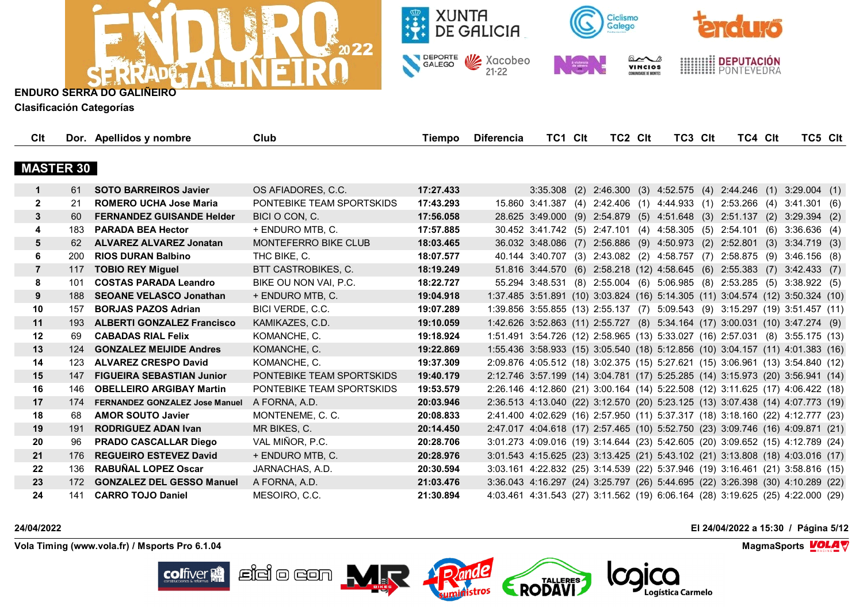



**Clasificación Categorías**

| Clt              |     | Dor. Apellidos y nombre               | Club                      | Tiempo    | <b>Diferencia</b> | TC1 CIt | TC2 CIt | TC3 CIt                                                                        | TC4 CIt |     | TC5 CIt        |  |
|------------------|-----|---------------------------------------|---------------------------|-----------|-------------------|---------|---------|--------------------------------------------------------------------------------|---------|-----|----------------|--|
|                  |     |                                       |                           |           |                   |         |         |                                                                                |         |     |                |  |
| <b>MASTER 30</b> |     |                                       |                           |           |                   |         |         |                                                                                |         |     |                |  |
| $\mathbf 1$      | 61  | <b>SOTO BARREIROS Javier</b>          | OS AFIADORES, C.C.        | 17:27.433 |                   |         |         | 3:35.308 (2) 2:46.300 (3) 4:52.575 (4) 2:44.246 (1) 3:29.004 (1)               |         |     |                |  |
| $\mathbf{2}$     | 21  | <b>ROMERO UCHA Jose Maria</b>         | PONTEBIKE TEAM SPORTSKIDS | 17:43.293 |                   |         |         | 15.860 3:41.387 (4) 2:42.406 (1) 4:44.933 (1) 2:53.266 (4) 3:41.301 (6)        |         |     |                |  |
| $\mathbf{3}$     | -60 | <b>FERNANDEZ GUISANDE Helder</b>      | BICI O CON, C.            | 17:56.058 |                   |         |         | 28.625 3:49.000 (9) 2:54.879 (5) 4:51.648 (3) 2:51.137                         |         | (2) | $3:29.394$ (2) |  |
| 4                | 183 | <b>PARADA BEA Hector</b>              | + ENDURO MTB, C.          | 17:57.885 |                   |         |         | 30.452 3:41.742 (5) 2:47.101 (4) 4:58.305 (5) 2:54.101                         |         | (6) | 3:36.636(4)    |  |
|                  | -62 | <b>ALVAREZ ALVAREZ Jonatan</b>        | MONTEFERRO BIKE CLUB      | 18:03.465 |                   |         |         | 36.032 3:48.086 (7) 2:56.886 (9) 4:50.973 (2) 2:52.801 (3) 3:34.719 (3)        |         |     |                |  |
| 6                | 200 | <b>RIOS DURAN Balbino</b>             | THC BIKE, C.              | 18:07.577 |                   |         |         | 40.144 3:40.707 (3) 2:43.082 (2) 4:58.757 (7) 2:58.875 (9) 3:46.156 (8)        |         |     |                |  |
| $\overline{7}$   | 117 | <b>TOBIO REY Miguel</b>               | BTT CASTROBIKES, C.       | 18:19.249 |                   |         |         | 51.816 3:44.570 (6) 2:58.218 (12) 4:58.645 (6) 2:55.383 (7) 3:42.433 (7)       |         |     |                |  |
| 8                | 101 | <b>COSTAS PARADA Leandro</b>          | BIKE OU NON VAI, P.C.     | 18:22.727 |                   |         |         | 55.294 3:48.531 (8) 2:55.004 (6) 5:06.985 (8) 2:53.285 (5) 3:38.922 (5)        |         |     |                |  |
| 9                | 188 | <b>SEOANE VELASCO Jonathan</b>        | + ENDURO MTB, C.          | 19:04.918 |                   |         |         | 1:37.485 3:51.891 (10) 3:03.824 (16) 5:14.305 (11) 3:04.574 (12) 3:50.324 (10) |         |     |                |  |
| 10               | 157 | <b>BORJAS PAZOS Adrian</b>            | BICI VERDE, C.C.          | 19:07.289 |                   |         |         | 1:39.856 3:55.855 (13) 2:55.137 (7) 5:09.543 (9) 3:15.297 (19) 3:51.457 (11)   |         |     |                |  |
| 11               | 193 | <b>ALBERTI GONZALEZ Francisco</b>     | KAMIKAZES, C.D.           | 19:10.059 |                   |         |         | 1:42.626 3:52.863 (11) 2:55.727 (8) 5:34.164 (17) 3:00.031 (10) 3:47.274 (9)   |         |     |                |  |
| 12               | 69  | <b>CABADAS RIAL Felix</b>             | KOMANCHE, C.              | 19:18.924 |                   |         |         | 1:51.491 3:54.726 (12) 2:58.965 (13) 5:33.027 (16) 2:57.031 (8) 3:55.175 (13)  |         |     |                |  |
| 13               | 124 | <b>GONZALEZ MEIJIDE Andres</b>        | KOMANCHE, C.              | 19:22.869 |                   |         |         | 1:55.436 3:58.933 (15) 3:05.540 (18) 5:12.856 (10) 3:04.157 (11) 4:01.383 (16) |         |     |                |  |
| 14               | 123 | <b>ALVAREZ CRESPO David</b>           | KOMANCHE, C.              | 19:37.309 |                   |         |         | 2:09.876 4:05.512 (18) 3:02.375 (15) 5:27.621 (15) 3:06.961 (13) 3:54.840 (12) |         |     |                |  |
| 15               | 147 | <b>FIGUEIRA SEBASTIAN Junior</b>      | PONTEBIKE TEAM SPORTSKIDS | 19:40.179 |                   |         |         | 2:12.746 3:57.199 (14) 3:04.781 (17) 5:25.285 (14) 3:15.973 (20) 3:56.941 (14) |         |     |                |  |
| 16               | 146 | <b>OBELLEIRO ARGIBAY Martin</b>       | PONTEBIKE TEAM SPORTSKIDS | 19:53.579 |                   |         |         | 2:26.146 4:12.860 (21) 3:00.164 (14) 5:22.508 (12) 3:11.625 (17) 4:06.422 (18) |         |     |                |  |
| 17               | 174 | <b>FERNANDEZ GONZALEZ Jose Manuel</b> | A FORNA, A.D.             | 20:03.946 |                   |         |         | 2:36.513 4:13.040 (22) 3:12.570 (20) 5:23.125 (13) 3:07.438 (14) 4:07.773 (19) |         |     |                |  |
| 18               | 68  | <b>AMOR SOUTO Javier</b>              | MONTENEME, C. C.          | 20:08.833 |                   |         |         | 2:41.400 4:02.629 (16) 2:57.950 (11) 5:37.317 (18) 3:18.160 (22) 4:12.777 (23) |         |     |                |  |
| 19               | 191 | <b>RODRIGUEZ ADAN Ivan</b>            | MR BIKES, C.              | 20:14.450 |                   |         |         | 2:47.017 4:04.618 (17) 2:57.465 (10) 5:52.750 (23) 3:09.746 (16) 4:09.871 (21) |         |     |                |  |
| 20               | 96  | <b>PRADO CASCALLAR Diego</b>          | VAL MIÑOR, P.C.           | 20:28.706 |                   |         |         | 3:01.273 4:09.016 (19) 3:14.644 (23) 5:42.605 (20) 3:09.652 (15) 4:12.789 (24) |         |     |                |  |
| 21               | 176 | <b>REGUEIRO ESTEVEZ David</b>         | + ENDURO MTB, C.          | 20:28.976 |                   |         |         | 3:01.543 4:15.625 (23) 3:13.425 (21) 5:43.102 (21) 3:13.808 (18) 4:03.016 (17) |         |     |                |  |
| 22               | 136 | <b>RABUÑAL LOPEZ Oscar</b>            | JARNACHAS, A.D.           | 20:30.594 |                   |         |         | 3:03.161 4:22.832 (25) 3:14.539 (22) 5:37.946 (19) 3:16.461 (21) 3:58.816 (15) |         |     |                |  |
| 23               | 172 | <b>GONZALEZ DEL GESSO Manuel</b>      | A FORNA, A.D.             | 21:03.476 |                   |         |         | 3:36.043 4:16.297 (24) 3:25.797 (26) 5:44.695 (22) 3:26.398 (30) 4:10.289 (22) |         |     |                |  |
| 24               | 141 | <b>CARRO TOJO Daniel</b>              | MESOIRO, C.C.             | 21:30.894 |                   |         |         | 4:03.461 4:31.543 (27) 3:11.562 (19) 6:06.164 (28) 3:19.625 (25) 4:22.000 (29) |         |     |                |  |

**24/04/2022 El 24/04/2022 a 15:30 / Página 5/12**

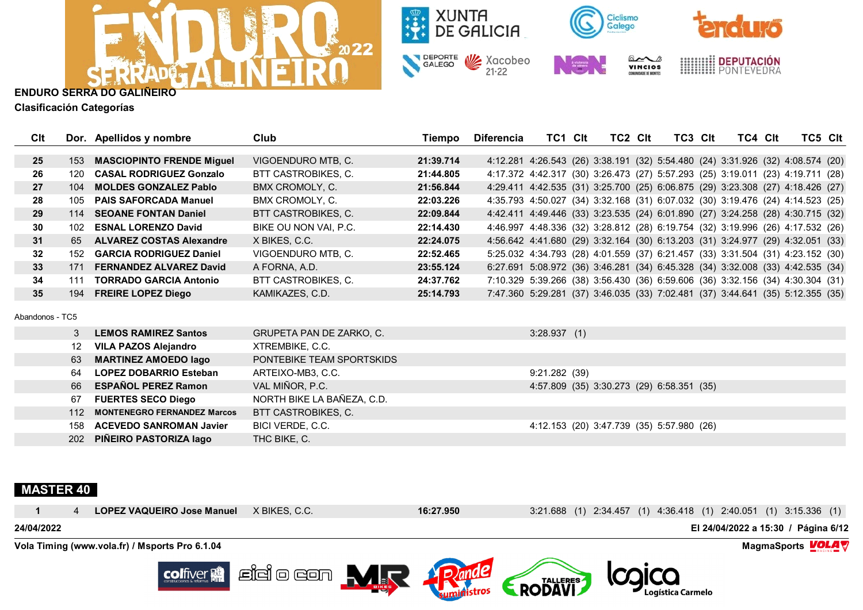



**Clasificación Categorías**

| Clt             |         | Dor. Apellidos y nombre            | Club                       | <b>Tiempo</b> | <b>Diferencia</b> | TC1 CIt       | TC2 CIt | TC3 CIt                                                                        | TC4 Clt |  | TC5 CIt |
|-----------------|---------|------------------------------------|----------------------------|---------------|-------------------|---------------|---------|--------------------------------------------------------------------------------|---------|--|---------|
|                 |         |                                    |                            |               |                   |               |         |                                                                                |         |  |         |
| 25              | 153     | <b>MASCIOPINTO FRENDE Miguel</b>   | VIGOENDURO MTB, C.         | 21:39.714     |                   |               |         | 4:12.281 4:26.543 (26) 3:38.191 (32) 5:54.480 (24) 3:31.926 (32) 4:08.574 (20) |         |  |         |
| 26              | 120     | <b>CASAL RODRIGUEZ Gonzalo</b>     | BTT CASTROBIKES, C.        | 21:44.805     |                   |               |         | 4:17.372 4:42.317 (30) 3:26.473 (27) 5:57.293 (25) 3:19.011 (23) 4:19.711 (28) |         |  |         |
| 27              | 104     | <b>MOLDES GONZALEZ Pablo</b>       | BMX CROMOLY, C.            | 21:56.844     |                   |               |         | 4:29.411 4:42.535 (31) 3:25.700 (25) 6:06.875 (29) 3:23.308 (27) 4:18.426 (27) |         |  |         |
| 28              | 105     | <b>PAIS SAFORCADA Manuel</b>       | BMX CROMOLY, C.            | 22:03.226     |                   |               |         | 4:35.793 4:50.027 (34) 3:32.168 (31) 6:07.032 (30) 3:19.476 (24) 4:14.523 (25) |         |  |         |
| 29              | 114     | <b>SEOANE FONTAN Daniel</b>        | <b>BTT CASTROBIKES, C.</b> | 22:09.844     |                   |               |         | 4:42.411 4:49.446 (33) 3:23.535 (24) 6:01.890 (27) 3:24.258 (28) 4:30.715 (32) |         |  |         |
| 30              | 102     | <b>ESNAL LORENZO David</b>         | BIKE OU NON VAI, P.C.      | 22:14.430     |                   |               |         | 4:46.997 4:48.336 (32) 3:28.812 (28) 6:19.754 (32) 3:19.996 (26) 4:17.532 (26) |         |  |         |
| 31              | 65      | <b>ALVAREZ COSTAS Alexandre</b>    | X BIKES, C.C.              | 22:24.075     |                   |               |         | 4:56.642 4:41.680 (29) 3:32.164 (30) 6:13.203 (31) 3:24.977 (29) 4:32.051 (33) |         |  |         |
| 32              | 152     | <b>GARCIA RODRIGUEZ Daniel</b>     | VIGOENDURO MTB, C.         | 22:52.465     |                   |               |         | 5:25.032 4:34.793 (28) 4:01.559 (37) 6:21.457 (33) 3:31.504 (31) 4:23.152 (30) |         |  |         |
| 33              | 171     | <b>FERNANDEZ ALVAREZ David</b>     | A FORNA, A.D.              | 23:55.124     |                   |               |         | 6:27.691 5:08.972 (36) 3:46.281 (34) 6:45.328 (34) 3:32.008 (33) 4:42.535 (34) |         |  |         |
| 34              | 111     | <b>TORRADO GARCIA Antonio</b>      | BTT CASTROBIKES, C.        | 24:37.762     |                   |               |         | 7:10.329 5:39.266 (38) 3:56.430 (36) 6:59.606 (36) 3:32.156 (34) 4:30.304 (31) |         |  |         |
| 35              | 194     | <b>FREIRE LOPEZ Diego</b>          | KAMIKAZES, C.D.            | 25:14.793     |                   |               |         | 7:47.360 5:29.281 (37) 3:46.035 (33) 7:02.481 (37) 3:44.641 (35) 5:12.355 (35) |         |  |         |
| Abandonos - TC5 |         |                                    |                            |               |                   |               |         |                                                                                |         |  |         |
|                 | 3       | <b>LEMOS RAMIREZ Santos</b>        | GRUPETA PAN DE ZARKO, C.   |               |                   | 3:28.937(1)   |         |                                                                                |         |  |         |
|                 | $12 \,$ | <b>VILA PAZOS Alejandro</b>        | XTREMBIKE, C.C.            |               |                   |               |         |                                                                                |         |  |         |
|                 | 63      | <b>MARTINEZ AMOEDO lago</b>        | PONTEBIKE TEAM SPORTSKIDS  |               |                   |               |         |                                                                                |         |  |         |
|                 | 64      | <b>LOPEZ DOBARRIO Esteban</b>      | ARTEIXO-MB3, C.C.          |               |                   | 9:21.282 (39) |         |                                                                                |         |  |         |
|                 | 66      | <b>ESPAÑOL PEREZ Ramon</b>         | VAL MIÑOR, P.C.            |               |                   |               |         | 4:57.809 (35) 3:30.273 (29) 6:58.351 (35)                                      |         |  |         |
|                 | 67      | <b>FUERTES SECO Diego</b>          | NORTH BIKE LA BAÑEZA, C.D. |               |                   |               |         |                                                                                |         |  |         |
|                 | 112     | <b>MONTENEGRO FERNANDEZ Marcos</b> | BTT CASTROBIKES, C.        |               |                   |               |         |                                                                                |         |  |         |
|                 | 158     | <b>ACEVEDO SANROMAN Javier</b>     | BICI VERDE, C.C.           |               |                   |               |         | 4:12.153 (20) 3:47.739 (35) 5:57.980 (26)                                      |         |  |         |
|                 | 202     | PIÑEIRO PASTORIZA Iago             | THC BIKE, C.               |               |                   |               |         |                                                                                |         |  |         |

## **MASTER 40**

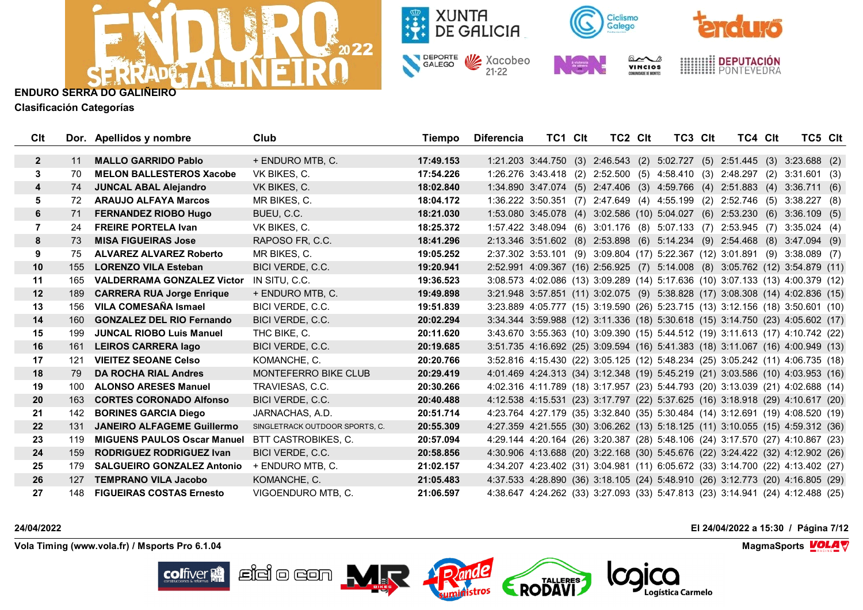



**Clasificación Categorías**

| Clt          |     | Dor. Apellidos y nombre            | Club                           | Tiempo    | Diferencia | TC1 CIt | TC2 Clt | TC3 CIt                                                                        | TC4 CIt | TC5 Clt              |  |
|--------------|-----|------------------------------------|--------------------------------|-----------|------------|---------|---------|--------------------------------------------------------------------------------|---------|----------------------|--|
| $\mathbf{2}$ | 11  | <b>MALLO GARRIDO Pablo</b>         | + ENDURO MTB, C.               | 17:49.153 |            |         |         | 1:21.203 3:44.750 (3) 2:46.543 (2) 5:02.727 (5) 2:51.445 (3) 3:23.688 (2)      |         |                      |  |
| 3            | 70  | <b>MELON BALLESTEROS Xacobe</b>    | VK BIKES, C.                   | 17:54.226 |            |         |         | 1:26.276 3:43.418 (2) 2:52.500 (5) 4:58.410 (3) 2:48.297 (2) 3:31.601 (3)      |         |                      |  |
| 4            | 74  | <b>JUNCAL ABAL Alejandro</b>       | VK BIKES, C.                   | 18:02.840 |            |         |         | 1:34.890 3:47.074 (5) 2:47.406 (3) 4:59.766 (4) 2:51.883 (4)                   |         | 3:36.711(6)          |  |
| 5            | 72  | <b>ARAUJO ALFAYA Marcos</b>        | MR BIKES, C.                   | 18:04.172 |            |         |         | 1:36.222 3:50.351 (7) 2:47.649 (4) 4:55.199 (2) 2:52.746 (5)                   |         | 3:38.227(8)          |  |
| 6            | 71  | <b>FERNANDEZ RIOBO Hugo</b>        | BUEU, C.C.                     | 18:21.030 |            |         |         | 1:53.080 3:45.078 (4) 3:02.586 (10) 5:04.027 (6) 2:53.230 (6) 3:36.109 (5)     |         |                      |  |
| 7            | 24  | <b>FREIRE PORTELA Ivan</b>         | VK BIKES, C.                   | 18:25.372 |            |         |         | 1:57.422 3:48.094 (6) 3:01.176 (8) 5:07.133 (7) 2:53.945 (7) 3:35.024 (4)      |         |                      |  |
| 8            | 73  | <b>MISA FIGUEIRAS Jose</b>         | RAPOSO FR, C.C.                | 18:41.296 |            |         |         | 2:13.346 3:51.602 (8) 2:53.898 (6) 5:14.234 (9) 2:54.468 (8) 3:47.094 (9)      |         |                      |  |
| 9            | 75  | <b>ALVAREZ ALVAREZ Roberto</b>     | MR BIKES, C.                   | 19:05.252 |            |         |         | 2:37.302 3:53.101 (9) 3:09.804 (17) 5:22.367 (12) 3:01.891                     |         | $(9)$ 3:38.089 $(7)$ |  |
| 10           | 155 | <b>LORENZO VILA Esteban</b>        | BICI VERDE, C.C.               | 19:20.941 |            |         |         | 2:52.991 4:09.367 (16) 2:56.925 (7) 5:14.008 (8) 3:05.762 (12) 3:54.879 (11)   |         |                      |  |
| 11           | 165 | <b>VALDERRAMA GONZALEZ Victor</b>  | IN SITU, C.C.                  | 19:36.523 |            |         |         | 3:08.573 4:02.086 (13) 3:09.289 (14) 5:17.636 (10) 3:07.133 (13) 4:00.379 (12) |         |                      |  |
| 12           | 189 | <b>CARRERA RUA Jorge Enrique</b>   | + ENDURO MTB, C.               | 19:49.898 |            |         |         | 3:21.948 3:57.851 (11) 3:02.075 (9) 5:38.828 (17) 3:08.308 (14) 4:02.836 (15)  |         |                      |  |
| 13           | 156 | <b>VILA COMESAÑA Ismael</b>        | BICI VERDE, C.C.               | 19:51.839 |            |         |         | 3:23.889 4:05.777 (15) 3:19.590 (26) 5:23.715 (13) 3:12.156 (18) 3:50.601 (10) |         |                      |  |
| 14           | 160 | <b>GONZALEZ DEL RIO Fernando</b>   | BICI VERDE, C.C.               | 20:02.294 |            |         |         | 3:34.344 3:59.988 (12) 3:11.336 (18) 5:30.618 (15) 3:14.750 (23) 4:05.602 (17) |         |                      |  |
| 15           | 199 | <b>JUNCAL RIOBO Luis Manuel</b>    | THC BIKE, C.                   | 20:11.620 |            |         |         | 3:43.670 3:55.363 (10) 3:09.390 (15) 5:44.512 (19) 3:11.613 (17) 4:10.742 (22) |         |                      |  |
| 16           | 161 | <b>LEIROS CARRERA lago</b>         | BICI VERDE, C.C.               | 20:19.685 |            |         |         | 3:51.735 4:16.692 (25) 3:09.594 (16) 5:41.383 (18) 3:11.067 (16) 4:00.949 (13) |         |                      |  |
| 17           | 121 | <b>VIEITEZ SEOANE Celso</b>        | KOMANCHE, C.                   | 20:20.766 |            |         |         | 3:52.816 4:15.430 (22) 3:05.125 (12) 5:48.234 (25) 3:05.242 (11) 4:06.735 (18) |         |                      |  |
| 18           | 79  | <b>DA ROCHA RIAL Andres</b>        | <b>MONTEFERRO BIKE CLUB</b>    | 20:29.419 |            |         |         | 4:01.469 4:24.313 (34) 3:12.348 (19) 5:45.219 (21) 3:03.586 (10) 4:03.953 (16) |         |                      |  |
| 19           | 100 | <b>ALONSO ARESES Manuel</b>        | TRAVIESAS, C.C.                | 20:30.266 |            |         |         | 4:02.316 4:11.789 (18) 3:17.957 (23) 5:44.793 (20) 3:13.039 (21) 4:02.688 (14) |         |                      |  |
| 20           | 163 | <b>CORTES CORONADO Alfonso</b>     | BICI VERDE, C.C.               | 20:40.488 |            |         |         | 4:12.538 4:15.531 (23) 3:17.797 (22) 5:37.625 (16) 3:18.918 (29) 4:10.617 (20) |         |                      |  |
| 21           | 142 | <b>BORINES GARCIA Diego</b>        | JARNACHAS, A.D.                | 20:51.714 |            |         |         | 4:23.764 4:27.179 (35) 3:32.840 (35) 5:30.484 (14) 3:12.691 (19) 4:08.520 (19) |         |                      |  |
| 22           | 131 | <b>JANEIRO ALFAGEME Guillermo</b>  | SINGLETRACK OUTDOOR SPORTS, C. | 20:55.309 |            |         |         | 4:27.359 4:21.555 (30) 3:06.262 (13) 5:18.125 (11) 3:10.055 (15) 4:59.312 (36) |         |                      |  |
| 23           | 119 | <b>MIGUENS PAULOS Oscar Manuel</b> | BTT CASTROBIKES, C.            | 20:57.094 |            |         |         | 4:29.144 4:20.164 (26) 3:20.387 (28) 5:48.106 (24) 3:17.570 (27) 4:10.867 (23) |         |                      |  |
| 24           | 159 | <b>RODRIGUEZ RODRIGUEZ Ivan</b>    | BICI VERDE, C.C.               | 20:58.856 |            |         |         | 4:30.906 4:13.688 (20) 3:22.168 (30) 5:45.676 (22) 3:24.422 (32) 4:12.902 (26) |         |                      |  |
| 25           | 179 | <b>SALGUEIRO GONZALEZ Antonio</b>  | + ENDURO MTB, C.               | 21:02.157 |            |         |         | 4:34.207 4:23.402 (31) 3:04.981 (11) 6:05.672 (33) 3:14.700 (22) 4:13.402 (27) |         |                      |  |
| 26           | 127 | <b>TEMPRANO VILA Jacobo</b>        | KOMANCHE, C.                   | 21:05.483 |            |         |         | 4:37.533 4:28.890 (36) 3:18.105 (24) 5:48.910 (26) 3:12.773 (20) 4:16.805 (29) |         |                      |  |
| 27           | 148 | <b>FIGUEIRAS COSTAS Ernesto</b>    | VIGOENDURO MTB. C.             | 21:06.597 |            |         |         | 4:38.647 4:24.262 (33) 3:27.093 (33) 5:47.813 (23) 3:14.941 (24) 4:12.488 (25) |         |                      |  |

**24/04/2022 El 24/04/2022 a 15:30 / Página 7/12**

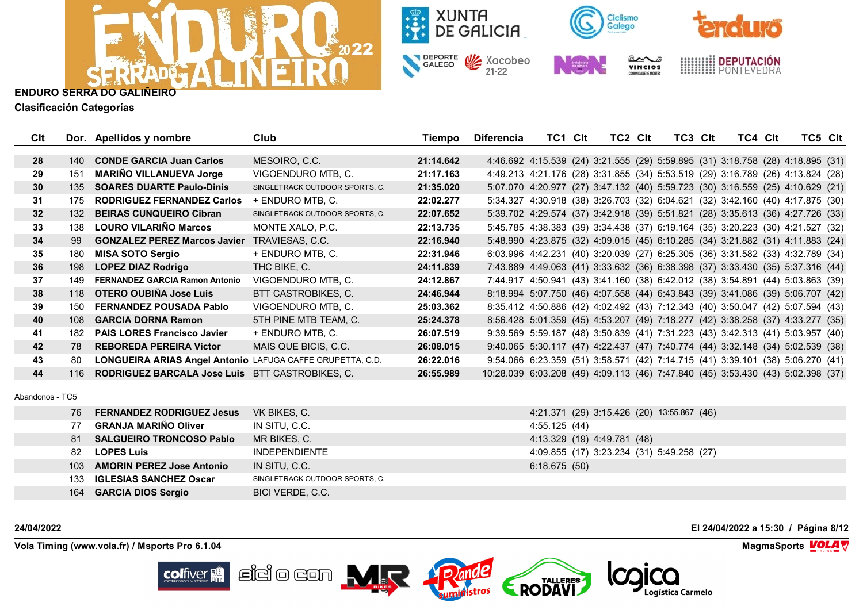



**Clasificación Categorías**

| Clt             |      | Dor. Apellidos y nombre                                   | Club                           | Tiempo    | <b>Diferencia</b>                                                               | TC1 Clt | TC <sub>2</sub> C <sub>It</sub> | TC3 Clt | TC4 Clt | TC5 CIt                                                                        |  |
|-----------------|------|-----------------------------------------------------------|--------------------------------|-----------|---------------------------------------------------------------------------------|---------|---------------------------------|---------|---------|--------------------------------------------------------------------------------|--|
| 28              | 140  | <b>CONDE GARCIA Juan Carlos</b>                           | MESOIRO, C.C.                  | 21:14.642 |                                                                                 |         |                                 |         |         | 4:46.692 4:15.539 (24) 3:21.555 (29) 5:59.895 (31) 3:18.758 (28) 4:18.895 (31) |  |
| 29              | 151  | <b>MARIÑO VILLANUEVA Jorge</b>                            | VIGOENDURO MTB, C.             | 21:17.163 |                                                                                 |         |                                 |         |         | 4:49.213 4:21.176 (28) 3:31.855 (34) 5:53.519 (29) 3:16.789 (26) 4:13.824 (28) |  |
| 30              | 135  | <b>SOARES DUARTE Paulo-Dinis</b>                          | SINGLETRACK OUTDOOR SPORTS, C. | 21:35.020 |                                                                                 |         |                                 |         |         | 5:07.070 4:20.977 (27) 3:47.132 (40) 5:59.723 (30) 3:16.559 (25) 4:10.629 (21) |  |
| 31              | 175  | <b>RODRIGUEZ FERNANDEZ Carlos</b>                         | + ENDURO MTB, C.               | 22:02.277 |                                                                                 |         |                                 |         |         | 5:34.327 4:30.918 (38) 3:26.703 (32) 6:04.621 (32) 3:42.160 (40) 4:17.875 (30) |  |
| 32 <sub>2</sub> | 132  | <b>BEIRAS CUNQUEIRO Cibran</b>                            | SINGLETRACK OUTDOOR SPORTS, C. | 22:07.652 |                                                                                 |         |                                 |         |         | 5:39.702 4:29.574 (37) 3:42.918 (39) 5:51.821 (28) 3:35.613 (36) 4:27.726 (33) |  |
| 33              | 138  | <b>LOURO VILARIÑO Marcos</b>                              | MONTE XALO, P.C.               | 22:13.735 |                                                                                 |         |                                 |         |         | 5:45.785 4:38.383 (39) 3:34.438 (37) 6:19.164 (35) 3:20.223 (30) 4:21.527 (32) |  |
| 34              | 99   | <b>GONZALEZ PEREZ Marcos Javier</b>                       | TRAVIESAS, C.C.                | 22:16.940 |                                                                                 |         |                                 |         |         | 5:48.990 4:23.875 (32) 4:09.015 (45) 6:10.285 (34) 3:21.882 (31) 4:11.883 (24) |  |
| 35              | 180  | <b>MISA SOTO Sergio</b>                                   | + ENDURO MTB, C.               | 22:31.946 |                                                                                 |         |                                 |         |         | 6:03.996 4:42.231 (40) 3:20.039 (27) 6:25.305 (36) 3:31.582 (33) 4:32.789 (34) |  |
| 36              | 198  | <b>LOPEZ DIAZ Rodrigo</b>                                 | THC BIKE, C.                   | 24:11.839 |                                                                                 |         |                                 |         |         | 7:43.889 4:49.063 (41) 3:33.632 (36) 6:38.398 (37) 3:33.430 (35) 5:37.316 (44) |  |
| 37              | 149  | <b>FERNANDEZ GARCIA Ramon Antonio</b>                     | VIGOENDURO MTB, C.             | 24:12.867 |                                                                                 |         |                                 |         |         | 7:44.917 4:50.941 (43) 3:41.160 (38) 6:42.012 (38) 3:54.891 (44) 5:03.863 (39) |  |
| 38              | 118  | OTERO OUBIÑA Jose Luis                                    | BTT CASTROBIKES, C.            | 24:46.944 |                                                                                 |         |                                 |         |         | 8:18.994 5:07.750 (46) 4:07.558 (44) 6:43.843 (39) 3:41.086 (39) 5:06.707 (42) |  |
| 39              | 150  | <b>FERNANDEZ POUSADA Pablo</b>                            | VIGOENDURO MTB, C.             | 25:03.362 |                                                                                 |         |                                 |         |         | 8:35.412 4:50.886 (42) 4:02.492 (43) 7:12.343 (40) 3:50.047 (42) 5:07.594 (43) |  |
| 40              | 108  | <b>GARCIA DORNA Ramon</b>                                 | 5TH PINE MTB TEAM, C.          | 25:24.378 |                                                                                 |         |                                 |         |         | 8:56.428 5:01.359 (45) 4:53.207 (49) 7:18.277 (42) 3:38.258 (37) 4:33.277 (35) |  |
| 41              | 182. | <b>PAIS LORES Francisco Javier</b>                        | + ENDURO MTB, C.               | 26:07.519 |                                                                                 |         |                                 |         |         | 9:39.569 5:59.187 (48) 3:50.839 (41) 7:31.223 (43) 3:42.313 (41) 5:03.957 (40) |  |
| 42              | 78   | <b>REBOREDA PEREIRA Victor</b>                            | MAIS QUE BICIS, C.C.           | 26:08.015 |                                                                                 |         |                                 |         |         | 9:40.065 5:30.117 (47) 4:22.437 (47) 7:40.774 (44) 3:32.148 (34) 5:02.539 (38) |  |
| 43              | 80   | LONGUEIRA ARIAS Angel Antonio LAFUGA CAFFE GRUPETTA, C.D. |                                | 26:22.016 |                                                                                 |         |                                 |         |         | 9:54.066 6:23.359 (51) 3:58.571 (42) 7:14.715 (41) 3:39.101 (38) 5:06.270 (41) |  |
| 44              | 116  | <b>RODRIGUEZ BARCALA Jose Luis</b>                        | BTT CASTROBIKES, C.            | 26:55.989 | 10:28.039 6:03.208 (49) 4:09.113 (46) 7:47.840 (45) 3:53.430 (43) 5:02.398 (37) |         |                                 |         |         |                                                                                |  |

Abandonos - TC5

| 76 FERNANDEZ RODRIGUEZ Jesus  | VK BIKES, C.                   | 4:21.371 (29) 3:15.426 (20) 13:55.867 (46) |
|-------------------------------|--------------------------------|--------------------------------------------|
| 77 GRANJA MARIÑO Oliver       | IN SITU, C.C.                  | 4:55.125 (44)                              |
| 81 SALGUEIRO TRONCOSO Pablo   | MR BIKES, C.                   | 4:13.329 (19) 4:49.781 (48)                |
| 82 LOPES Luis                 | INDEPENDIENTE                  | 4:09.855 (17) 3:23.234 (31) 5:49.258 (27)  |
| 103 AMORIN PEREZ Jose Antonio | IN SITU, C.C.                  | 6:18.675(50)                               |
| 133 IGLESIAS SANCHEZ Oscar    | SINGLETRACK OUTDOOR SPORTS, C. |                                            |
| 164 GARCIA DIOS Sergio        | BICI VERDE, C.C.               |                                            |

**24/04/2022 El 24/04/2022 a 15:30 / Página 8/12**

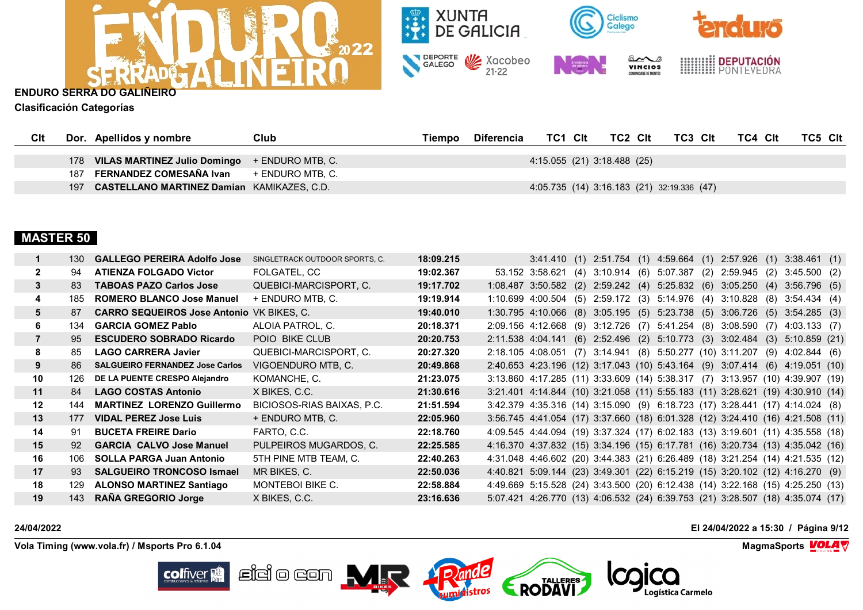



**Clasificación Categorías**

| CIt |     | Dor. Apellidos y nombre                           | Club             | Tiempo | Diferencia | TC1 CIt                     | TC2 Clt | TC3 Clt                                    | TC4 Clt | TC5 Clt |
|-----|-----|---------------------------------------------------|------------------|--------|------------|-----------------------------|---------|--------------------------------------------|---------|---------|
|     |     |                                                   |                  |        |            |                             |         |                                            |         |         |
|     |     | 178 VILAS MARTINEZ Julio Domingo + ENDURO MTB, C. |                  |        |            | 4:15.055 (21) 3:18.488 (25) |         |                                            |         |         |
|     |     | 187 FERNANDEZ COMESAÑA Ivan                       | + ENDURO MTB. C. |        |            |                             |         |                                            |         |         |
|     | 197 | <b>CASTELLANO MARTINEZ Damian KAMIKAZES, C.D.</b> |                  |        |            |                             |         | 4:05.735 (14) 3:16.183 (21) 32:19.336 (47) |         |         |

# **MASTER 50**

|              | 130  | <b>GALLEGO PEREIRA Adolfo Jose</b>               | SINGLETRACK OUTDOOR SPORTS, C. | 18:09.215 |                                                                                | $3:41.410$ (1) $2:51.754$ (1) $4:59.664$ (1) $2:57.926$ (1) $3:38.461$ (1) |  |  |  |  |
|--------------|------|--------------------------------------------------|--------------------------------|-----------|--------------------------------------------------------------------------------|----------------------------------------------------------------------------|--|--|--|--|
| $\mathbf{2}$ | 94   | <b>ATIENZA FOLGADO Victor</b>                    | FOLGATEL, CC                   | 19:02.367 | 53.152 3:58.621 (4) 3:10.914 (6) 5:07.387 (2) 2:59.945 (2) 3:45.500 (2)        |                                                                            |  |  |  |  |
| 3            | 83   | <b>TABOAS PAZO Carlos Jose</b>                   | QUEBICI-MARCISPORT, C.         | 19:17.702 | 1:08.487 3:50.582 (2) 2:59.242 (4) 5:25.832 (6) 3:05.250 (4) 3:56.796 (5)      |                                                                            |  |  |  |  |
| 4            | 185  | <b>ROMERO BLANCO Jose Manuel</b>                 | + ENDURO MTB, C.               | 19:19.914 | 1:10.699 4:00.504 (5) 2:59.172 (3) 5:14.976 (4) 3:10.828 (8) 3:54.434 (4)      |                                                                            |  |  |  |  |
| 5            | 87   | <b>CARRO SEQUEIROS Jose Antonio VK BIKES, C.</b> |                                | 19:40.010 | 1:30.795 4:10.066 (8) 3:05.195 (5) 5:23.738 (5) 3:06.726 (5) 3:54.285 (3)      |                                                                            |  |  |  |  |
| 6            | 134  | <b>GARCIA GOMEZ Pablo</b>                        | ALOIA PATROL, C.               | 20:18.371 | 2:09.156 4:12.668 (9) 3:12.726 (7) 5:41.254 (8) 3:08.590 (7) 4:03.133 (7)      |                                                                            |  |  |  |  |
|              | 95   | <b>ESCUDERO SOBRADO Ricardo</b>                  | POIO BIKE CLUB                 | 20:20.753 | 2:11.538 4:04.141 (6) 2:52.496 (2) 5:10.773 (3) 3:02.484 (3) 5:10.859 (21)     |                                                                            |  |  |  |  |
| 8            | 85   | <b>LAGO CARRERA Javier</b>                       | QUEBICI-MARCISPORT, C.         | 20:27.320 | 2:18.105 4:08.051 (7) 3:14.941 (8) 5:50.277 (10) 3:11.207 (9) 4:02.844 (6)     |                                                                            |  |  |  |  |
| 9            | 86 - | <b>SALGUEIRO FERNANDEZ Jose Carlos</b>           | VIGOENDURO MTB, C.             | 20:49.868 | 2:40.653 4:23.196 (12) 3:17.043 (10) 5:43.164 (9) 3:07.414 (6) 4:19.051 (10)   |                                                                            |  |  |  |  |
| 10           | 126  | DE LA PUENTE CRESPO Alejandro                    | KOMANCHE, C.                   | 21:23.075 | 3:13.860 4:17.285 (11) 3:33.609 (14) 5:38.317 (7) 3:13.957 (10) 4:39.907 (19)  |                                                                            |  |  |  |  |
| 11           | 84   | <b>LAGO COSTAS Antonio</b>                       | X BIKES, C.C.                  | 21:30.616 | 3:21.401 4:14.844 (10) 3:21.058 (11) 5:55.183 (11) 3:28.621 (19) 4:30.910 (14) |                                                                            |  |  |  |  |
| $12 \,$      | 144  | <b>MARTINEZ LORENZO Guillermo</b>                | BICIOSOS-RIAS BAIXAS, P.C.     | 21:51.594 | 3:42.379 4:35.316 (14) 3:15.090 (9) 6:18.723 (17) 3:28.441 (17) 4:14.024 (8)   |                                                                            |  |  |  |  |
| 13           | 177  | <b>VIDAL PEREZ Jose Luis</b>                     | + ENDURO MTB, C.               | 22:05.960 | 3:56.745 4:41.054 (17) 3:37.660 (18) 6:01.328 (12) 3:24.410 (16) 4:21.508 (11) |                                                                            |  |  |  |  |
| 14           | 91   | <b>BUCETA FREIRE Dario</b>                       | FARTO, C.C.                    | 22:18.760 | 4:09.545 4:44.094 (19) 3:37.324 (17) 6:02.183 (13) 3:19.601 (11) 4:35.558 (18) |                                                                            |  |  |  |  |
| 15           | 92   | <b>GARCIA CALVO Jose Manuel</b>                  | PULPEIROS MUGARDOS, C.         | 22:25.585 | 4:16.370 4:37.832 (15) 3:34.196 (15) 6:17.781 (16) 3:20.734 (13) 4:35.042 (16) |                                                                            |  |  |  |  |
| 16           | 106  | <b>SOLLA PARGA Juan Antonio</b>                  | 5TH PINE MTB TEAM, C.          | 22:40.263 | 4:31.048 4:46.602 (20) 3:44.383 (21) 6:26.489 (18) 3:21.254 (14) 4:21.535 (12) |                                                                            |  |  |  |  |
| 17           | 93   | <b>SALGUEIRO TRONCOSO Ismael</b>                 | MR BIKES, C.                   | 22:50.036 | 4:40.821 5:09.144 (23) 3:49.301 (22) 6:15.219 (15) 3:20.102 (12) 4:16.270 (9)  |                                                                            |  |  |  |  |
| 18           | 129  | <b>ALONSO MARTINEZ Santiago</b>                  | <b>MONTEBOI BIKE C.</b>        | 22:58.884 | 4:49.669 5:15.528 (24) 3:43.500 (20) 6:12.438 (14) 3:22.168 (15) 4:25.250 (13) |                                                                            |  |  |  |  |
| 19           | 143  | <b>RAÑA GREGORIO Jorge</b>                       | X BIKES, C.C.                  | 23:16.636 | 5:07.421 4:26.770 (13) 4:06.532 (24) 6:39.753 (21) 3:28.507 (18) 4:35.074 (17) |                                                                            |  |  |  |  |

**24/04/2022 El 24/04/2022 a 15:30 / Página 9/12**

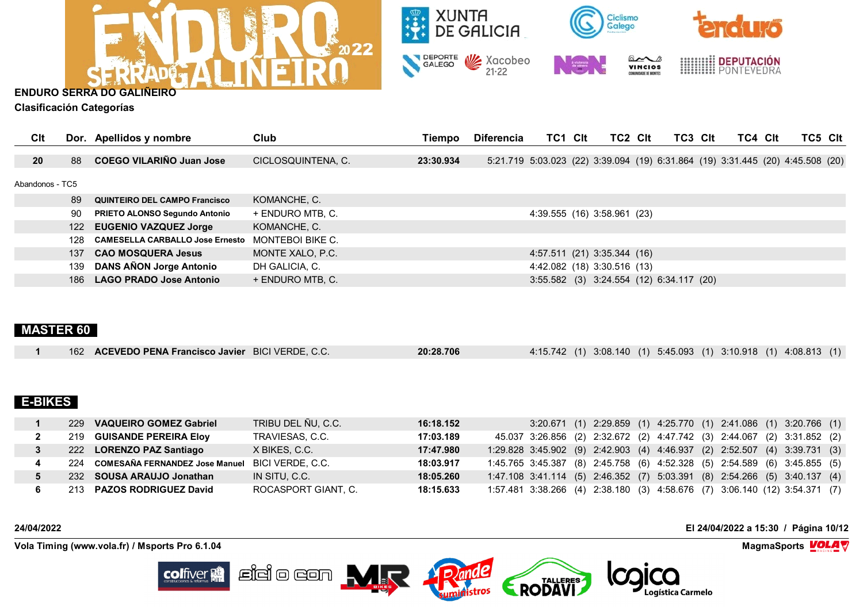



**Clasificación Categorías**

| CIt             |     | Dor. Apellidos y nombre                | Club                    | Tiempo    | <b>Diferencia</b>                                                              | TC1 Clt                     | TC2 CIt                                  | TC3 Clt | TC4 Clt | TC5 Clt |  |
|-----------------|-----|----------------------------------------|-------------------------|-----------|--------------------------------------------------------------------------------|-----------------------------|------------------------------------------|---------|---------|---------|--|
| 20              | 88  | <b>COEGO VILARIÑO Juan Jose</b>        | CICLOSQUINTENA, C.      | 23:30.934 | 5:21.719 5:03.023 (22) 3:39.094 (19) 6:31.864 (19) 3:31.445 (20) 4:45.508 (20) |                             |                                          |         |         |         |  |
| Abandonos - TC5 |     |                                        |                         |           |                                                                                |                             |                                          |         |         |         |  |
|                 | 89  | <b>QUINTEIRO DEL CAMPO Francisco</b>   | KOMANCHE, C.            |           |                                                                                |                             |                                          |         |         |         |  |
|                 | 90  | <b>PRIETO ALONSO Segundo Antonio</b>   | + ENDURO MTB, C.        |           |                                                                                | 4:39.555 (16) 3:58.961 (23) |                                          |         |         |         |  |
|                 |     | 122 EUGENIO VAZQUEZ Jorge              | KOMANCHE, C.            |           |                                                                                |                             |                                          |         |         |         |  |
|                 | 128 | <b>CAMESELLA CARBALLO Jose Ernesto</b> | <b>MONTEBOI BIKE C.</b> |           |                                                                                |                             |                                          |         |         |         |  |
|                 | 137 | <b>CAO MOSQUERA Jesus</b>              | MONTE XALO, P.C.        |           |                                                                                | 4:57.511 (21) 3:35.344 (16) |                                          |         |         |         |  |
|                 | 139 | <b>DANS AÑON Jorge Antonio</b>         | DH GALICIA, C.          |           |                                                                                |                             | 4:42.082 (18) 3:30.516 (13)              |         |         |         |  |
|                 | 186 | <b>LAGO PRADO Jose Antonio</b>         | + ENDURO MTB, C.        |           |                                                                                |                             | 3:55.582 (3) 3:24.554 (12) 6:34.117 (20) |         |         |         |  |

# **MASTER 60**

| 162 ACEVEDO PENA Francisco Javier BICI VERDE, C.C. | 20:28.706 | 4:15.742 (1) 3:08.140 (1) 5:45.093 (1) 3:10.918 (1) 4:08.813 (1) |
|----------------------------------------------------|-----------|------------------------------------------------------------------|

# **E-BIKES**

| 229 | <b>VAQUEIRO GOMEZ Gabriel</b>      | TRIBU DEL ÑU, C.C.  | 16:18.152 | 3:20.671 (1) 2:29.859 (1) 4:25.770 (1) 2:41.086 (1) 3:20.766 (1)           |  |  |  |  |  |
|-----|------------------------------------|---------------------|-----------|----------------------------------------------------------------------------|--|--|--|--|--|
|     | 219 GUISANDE PEREIRA Eloy          | TRAVIESAS, C.C.     | 17:03.189 | 45.037 3:26.856 (2) 2:32.672 (2) 4:47.742 (3) 2:44.067 (2) 3:31.852 (2)    |  |  |  |  |  |
|     | 222 LORENZO PAZ Santiago           | X BIKES, C.C.       | 17:47.980 | 1:29.828 3:45.902 (9) 2:42.903 (4) 4:46.937 (2) 2:52.507 (4) 3:39.731 (3)  |  |  |  |  |  |
|     | 224 COMESAÑA FERNANDEZ Jose Manuel | BICI VERDE, C.C.    | 18:03.917 | 1:45.765 3:45.387 (8) 2:45.758 (6) 4:52.328 (5) 2:54.589 (6) 3:45.855 (5)  |  |  |  |  |  |
|     | 232 SOUSA ARAUJO Jonathan          | IN SITU. C.C.       | 18:05.260 | 1:47.108 3:41.114 (5) 2:46.352 (7) 5:03.391 (8) 2:54.266 (5) 3:40.137 (4)  |  |  |  |  |  |
| 213 | <b>PAZOS RODRIGUEZ David</b>       | ROCASPORT GIANT. C. | 18:15.633 | 1:57.481 3:38.266 (4) 2:38.180 (3) 4:58.676 (7) 3:06.140 (12) 3:54.371 (7) |  |  |  |  |  |

Pande

RODAVI

**Vola Timing (www.vola.fr) / Msports Pro 6.1.04 MagmaSports VOLA** 

**24/04/2022 El 24/04/2022 a 15:30 / Página 10/12**

TO

Logística Carmelo



 $\mathbb{E}$ idio con  $\mathbf{M}$ r **colfiver**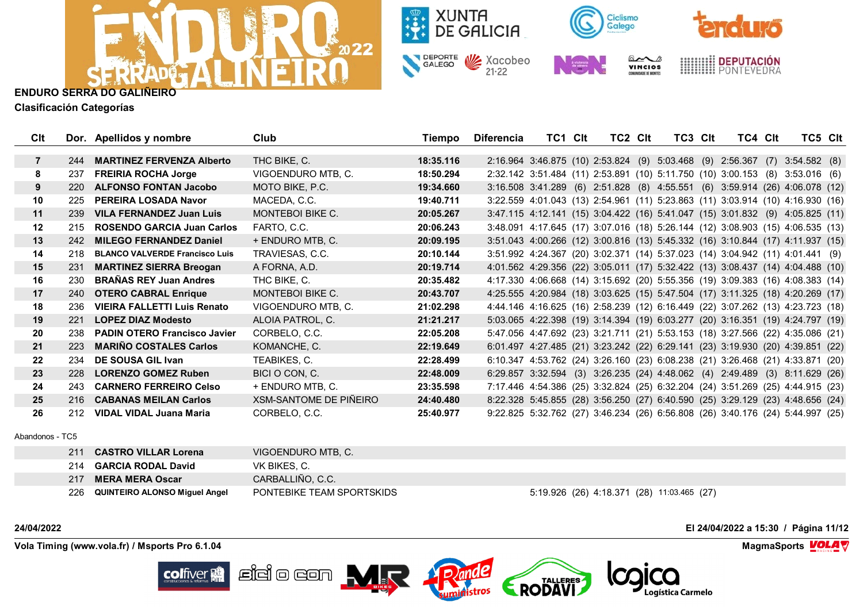



**Clasificación Categorías**

| Clt              |     | Dor. Apellidos y nombre               | Club                   | Tiempo    | <b>Diferencia</b> | TC1 CIt | TC2 CIt | TC3 CIt | TC4 CIt | TC5 CIt                                                                        |  |
|------------------|-----|---------------------------------------|------------------------|-----------|-------------------|---------|---------|---------|---------|--------------------------------------------------------------------------------|--|
|                  |     |                                       |                        |           |                   |         |         |         |         |                                                                                |  |
| $\overline{7}$   | 244 | <b>MARTINEZ FERVENZA Alberto</b>      | THC BIKE, C.           | 18:35.116 |                   |         |         |         |         | 2:16.964 3:46.875 (10) 2:53.824 (9) 5:03.468 (9) 2:56.367 (7) 3:54.582 (8)     |  |
| 8                | 237 | <b>FREIRIA ROCHA Jorge</b>            | VIGOENDURO MTB, C.     | 18:50.294 |                   |         |         |         |         | 2:32.142 3:51.484 (11) 2:53.891 (10) 5:11.750 (10) 3:00.153 (8) 3:53.016 (6)   |  |
| 9                | 220 | <b>ALFONSO FONTAN Jacobo</b>          | MOTO BIKE, P.C.        | 19:34.660 |                   |         |         |         |         | 3:16.508 3:41.289 (6) 2:51.828 (8) 4:55.551 (6) 3:59.914 (26) 4:06.078 (12)    |  |
| 10               | 225 | PEREIRA LOSADA Navor                  | MACEDA, C.C.           | 19:40.711 |                   |         |         |         |         | 3:22.559 4:01.043 (13) 2:54.961 (11) 5:23.863 (11) 3:03.914 (10) 4:16.930 (16) |  |
| 11               | 239 | <b>VILA FERNANDEZ Juan Luis</b>       | MONTEBOI BIKE C.       | 20:05.267 |                   |         |         |         |         | 3:47.115 4:12.141 (15) 3:04.422 (16) 5:41.047 (15) 3:01.832 (9) 4:05.825 (11)  |  |
| 12 <sup>12</sup> | 215 | <b>ROSENDO GARCIA Juan Carlos</b>     | FARTO, C.C.            | 20:06.243 |                   |         |         |         |         | 3:48.091 4:17.645 (17) 3:07.016 (18) 5:26.144 (12) 3:08.903 (15) 4:06.535 (13) |  |
| 13               | 242 | <b>MILEGO FERNANDEZ Daniel</b>        | + ENDURO MTB, C.       | 20:09.195 |                   |         |         |         |         | 3:51.043 4:00.266 (12) 3:00.816 (13) 5:45.332 (16) 3:10.844 (17) 4:11.937 (15) |  |
| 14               | 218 | <b>BLANCO VALVERDE Francisco Luis</b> | TRAVIESAS, C.C.        | 20:10.144 |                   |         |         |         |         | 3:51.992 4:24.367 (20) 3:02.371 (14) 5:37.023 (14) 3:04.942 (11) 4:01.441 (9)  |  |
| 15               | 231 | <b>MARTINEZ SIERRA Breogan</b>        | A FORNA, A.D.          | 20:19.714 |                   |         |         |         |         | 4:01.562 4:29.356 (22) 3:05.011 (17) 5:32.422 (13) 3:08.437 (14) 4:04.488 (10) |  |
| 16               | 230 | <b>BRAÑAS REY Juan Andres</b>         | THC BIKE, C.           | 20:35.482 |                   |         |         |         |         | 4:17.330 4:06.668 (14) 3:15.692 (20) 5:55.356 (19) 3:09.383 (16) 4:08.383 (14) |  |
| 17               | 240 | <b>OTERO CABRAL Enrique</b>           | MONTEBOI BIKE C.       | 20:43.707 |                   |         |         |         |         | 4:25.555 4:20.984 (18) 3:03.625 (15) 5:47.504 (17) 3:11.325 (18) 4:20.269 (17) |  |
| 18               | 236 | <b>VIEIRA FALLETTI Luis Renato</b>    | VIGOENDURO MTB, C.     | 21:02.298 |                   |         |         |         |         | 4:44.146 4:16.625 (16) 2:58.239 (12) 6:16.449 (22) 3:07.262 (13) 4:23.723 (18) |  |
| 19               | 221 | <b>LOPEZ DIAZ Modesto</b>             | ALOIA PATROL, C.       | 21:21.217 |                   |         |         |         |         | 5:03.065 4:22.398 (19) 3:14.394 (19) 6:03.277 (20) 3:16.351 (19) 4:24.797 (19) |  |
| 20               | 238 | <b>PADIN OTERO Francisco Javier</b>   | CORBELO, C.C.          | 22:05.208 |                   |         |         |         |         | 5:47.056 4:47.692 (23) 3:21.711 (21) 5:53.153 (18) 3:27.566 (22) 4:35.086 (21) |  |
| 21               | 223 | <b>MARIÑO COSTALES Carlos</b>         | KOMANCHE, C.           | 22:19.649 |                   |         |         |         |         | 6:01.497 4:27.485 (21) 3:23.242 (22) 6:29.141 (23) 3:19.930 (20) 4:39.851 (22) |  |
| $22 \,$          | 234 | DE SOUSA GIL Ivan                     | TEABIKES, C.           | 22:28.499 |                   |         |         |         |         | 6:10.347 4:53.762 (24) 3:26.160 (23) 6:08.238 (21) 3:26.468 (21) 4:33.871 (20) |  |
| 23               | 228 | <b>LORENZO GOMEZ Ruben</b>            | BICI O CON, C.         | 22:48.009 |                   |         |         |         |         | 6:29.857 3:32.594 (3) 3:26.235 (24) 4:48.062 (4) 2:49.489 (3) 8:11.629 (26)    |  |
| 24               | 243 | <b>CARNERO FERREIRO Celso</b>         | + ENDURO MTB, C.       | 23:35.598 |                   |         |         |         |         | 7:17.446 4:54.386 (25) 3:32.824 (25) 6:32.204 (24) 3:51.269 (25) 4:44.915 (23) |  |
| 25               | 216 | <b>CABANAS MEILAN Carlos</b>          | XSM-SANTOME DE PIÑEIRO | 24:40.480 |                   |         |         |         |         | 8:22.328 5:45.855 (28) 3:56.250 (27) 6:40.590 (25) 3:29.129 (23) 4:48.656 (24) |  |
| 26               | 212 | <b>VIDAL VIDAL Juana Maria</b>        | CORBELO, C.C.          | 25:40.977 |                   |         |         |         |         | 9:22.825 5:32.762 (27) 3:46.234 (26) 6:56.808 (26) 3:40.176 (24) 5:44.997 (25) |  |

Abandonos - TC5

| 211 | <b>CASTRO VILLAR Lorena</b>          | VIGOENDURO MTB, C.        |                                            |
|-----|--------------------------------------|---------------------------|--------------------------------------------|
|     | 214 <b>GARCIA RODAL David</b>        | VK BIKES, C.              |                                            |
| 217 | <b>MERA MERA Oscar</b>               | CARBALLIÑO, C.C.          |                                            |
| 226 | <b>QUINTEIRO ALONSO Miguel Angel</b> | PONTEBIKE TEAM SPORTSKIDS | 5:19.926 (26) 4:18.371 (28) 11:03.465 (27) |

**24/04/2022 El 24/04/2022 a 15:30 / Página 11/12**